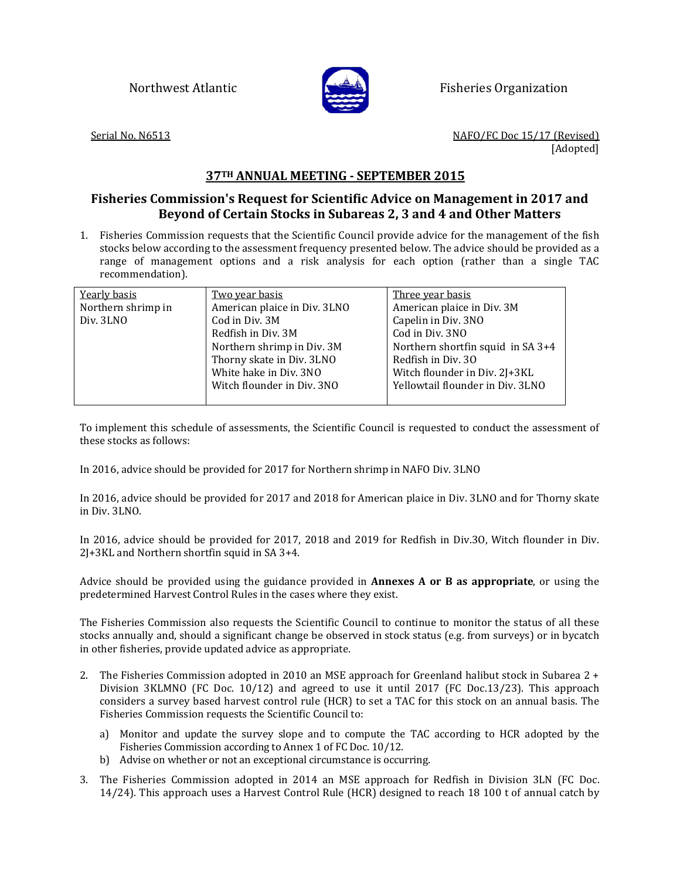

Northwest Atlantic **Fisheries Organization** 

Serial No. N6513 NAFO/FC Doc 15/17 (Revised) [Adopted]

## **37TH ANNUAL MEETING - SEPTEMBER 2015**

## **Fisheries Commission's Request for Scientific Advice on Management in 2017 and Beyond of Certain Stocks in Subareas 2, 3 and 4 and Other Matters**

1. Fisheries Commission requests that the Scientific Council provide advice for the management of the fish stocks below according to the assessment frequency presented below. The advice should be provided as a range of management options and a risk analysis for each option (rather than a single TAC recommendation).

| Yearly basis       | <u>Two year basis</u>        | <u>Three year basis</u>           |
|--------------------|------------------------------|-----------------------------------|
| Northern shrimp in | American plaice in Div. 3LNO | American plaice in Div. 3M        |
| Div. 3LNO          | Cod in Div. 3M               | Capelin in Div. 3NO               |
|                    | Redfish in Div. 3M           | Cod in Div. 3NO                   |
|                    | Northern shrimp in Div. 3M   | Northern shortfin squid in SA 3+4 |
|                    | Thorny skate in Div. 3LNO    | Redfish in Div. 30                |
|                    | White hake in Div. 3NO       | Witch flounder in Div. 2J+3KL     |
|                    | Witch flounder in Div. 3NO   | Yellowtail flounder in Div. 3LNO  |
|                    |                              |                                   |

To implement this schedule of assessments, the Scientific Council is requested to conduct the assessment of these stocks as follows:

In 2016, advice should be provided for 2017 for Northern shrimp in NAFO Div. 3LNO

In 2016, advice should be provided for 2017 and 2018 for American plaice in Div. 3LNO and for Thorny skate in Div. 3LNO.

In 2016, advice should be provided for 2017, 2018 and 2019 for Redfish in Div.3O, Witch flounder in Div. 2J+3KL and Northern shortfin squid in SA 3+4.

Advice should be provided using the guidance provided in **Annexes A or B as appropriate**, or using the predetermined Harvest Control Rules in the cases where they exist.

The Fisheries Commission also requests the Scientific Council to continue to monitor the status of all these stocks annually and, should a significant change be observed in stock status (e.g. from surveys) or in bycatch in other fisheries, provide updated advice as appropriate.

- 2. The Fisheries Commission adopted in 2010 an MSE approach for Greenland halibut stock in Subarea 2 + Division 3KLMNO (FC Doc. 10/12) and agreed to use it until 2017 (FC Doc.13/23). This approach considers a survey based harvest control rule (HCR) to set a TAC for this stock on an annual basis. The Fisheries Commission requests the Scientific Council to:
	- a) Monitor and update the survey slope and to compute the TAC according to HCR adopted by the Fisheries Commission according to Annex 1 of FC Doc. 10/12.
	- b) Advise on whether or not an exceptional circumstance is occurring.
- 3. The Fisheries Commission adopted in 2014 an MSE approach for Redfish in Division 3LN (FC Doc. 14/24). This approach uses a Harvest Control Rule (HCR) designed to reach 18 100 t of annual catch by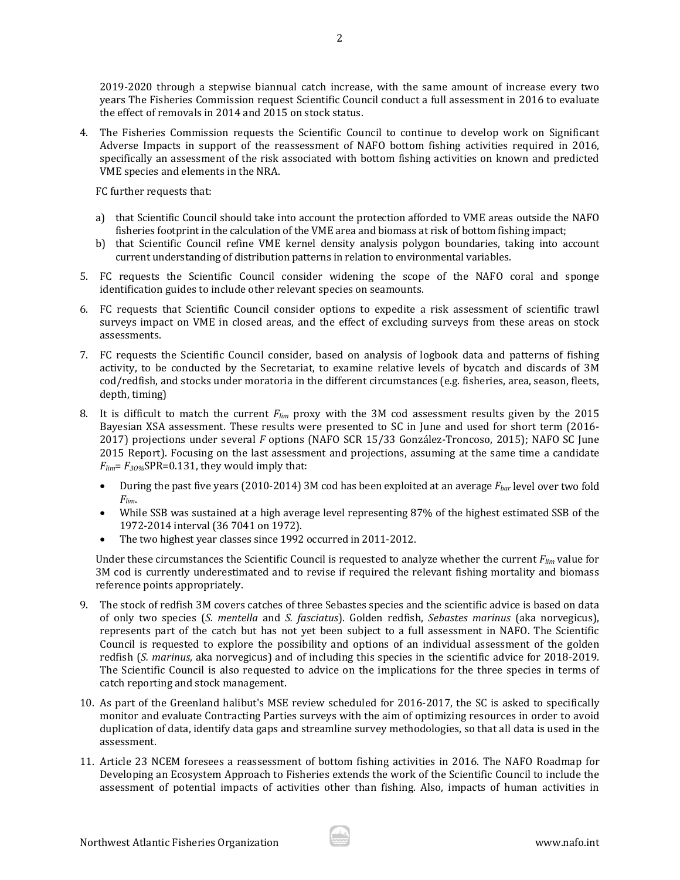2019-2020 through a stepwise biannual catch increase, with the same amount of increase every two years The Fisheries Commission request Scientific Council conduct a full assessment in 2016 to evaluate the effect of removals in 2014 and 2015 on stock status.

4. The Fisheries Commission requests the Scientific Council to continue to develop work on Significant Adverse Impacts in support of the reassessment of NAFO bottom fishing activities required in 2016, specifically an assessment of the risk associated with bottom fishing activities on known and predicted VME species and elements in the NRA.

FC further requests that:

- a) that Scientific Council should take into account the protection afforded to VME areas outside the NAFO fisheries footprint in the calculation of the VME area and biomass at risk of bottom fishing impact;
- b) that Scientific Council refine VME kernel density analysis polygon boundaries, taking into account current understanding of distribution patterns in relation to environmental variables.
- 5. FC requests the Scientific Council consider widening the scope of the NAFO coral and sponge identification guides to include other relevant species on seamounts.
- 6. FC requests that Scientific Council consider options to expedite a risk assessment of scientific trawl surveys impact on VME in closed areas, and the effect of excluding surveys from these areas on stock assessments.
- 7. FC requests the Scientific Council consider, based on analysis of logbook data and patterns of fishing activity, to be conducted by the Secretariat, to examine relative levels of bycatch and discards of 3M cod/redfish, and stocks under moratoria in the different circumstances (e.g. fisheries, area, season, fleets, depth, timing)
- 8. It is difficult to match the current *Flim* proxy with the 3M cod assessment results given by the 2015 Bayesian XSA assessment. These results were presented to SC in June and used for short term (2016- 2017) projections under several *F* options (NAFO SCR 15/33 González-Troncoso, 2015); NAFO SC June 2015 Report). Focusing on the last assessment and projections, assuming at the same time a candidate  $F_{lim} = F_{30\%}$ SPR=0.131, they would imply that:
	- During the past five years (2010-2014) 3M cod has been exploited at an average *Fbar* level over two fold *Flim*.
	- While SSB was sustained at a high average level representing 87% of the highest estimated SSB of the 1972-2014 interval (36 7041 on 1972).
	- The two highest year classes since 1992 occurred in 2011-2012.

Under these circumstances the Scientific Council is requested to analyze whether the current *Flim* value for 3M cod is currently underestimated and to revise if required the relevant fishing mortality and biomass reference points appropriately.

- 9. The stock of redfish 3M covers catches of three Sebastes species and the scientific advice is based on data of only two species (*S. mentella* and *S. fasciatus*). Golden redfish, *Sebastes marinus* (aka norvegicus), represents part of the catch but has not yet been subject to a full assessment in NAFO. The Scientific Council is requested to explore the possibility and options of an individual assessment of the golden redfish (*S. marinus*, aka norvegicus) and of including this species in the scientific advice for 2018-2019. The Scientific Council is also requested to advice on the implications for the three species in terms of catch reporting and stock management.
- 10. As part of the Greenland halibut's MSE review scheduled for 2016-2017, the SC is asked to specifically monitor and evaluate Contracting Parties surveys with the aim of optimizing resources in order to avoid duplication of data, identify data gaps and streamline survey methodologies, so that all data is used in the assessment.
- 11. Article 23 NCEM foresees a reassessment of bottom fishing activities in 2016. The NAFO Roadmap for Developing an Ecosystem Approach to Fisheries extends the work of the Scientific Council to include the assessment of potential impacts of activities other than fishing. Also, impacts of human activities in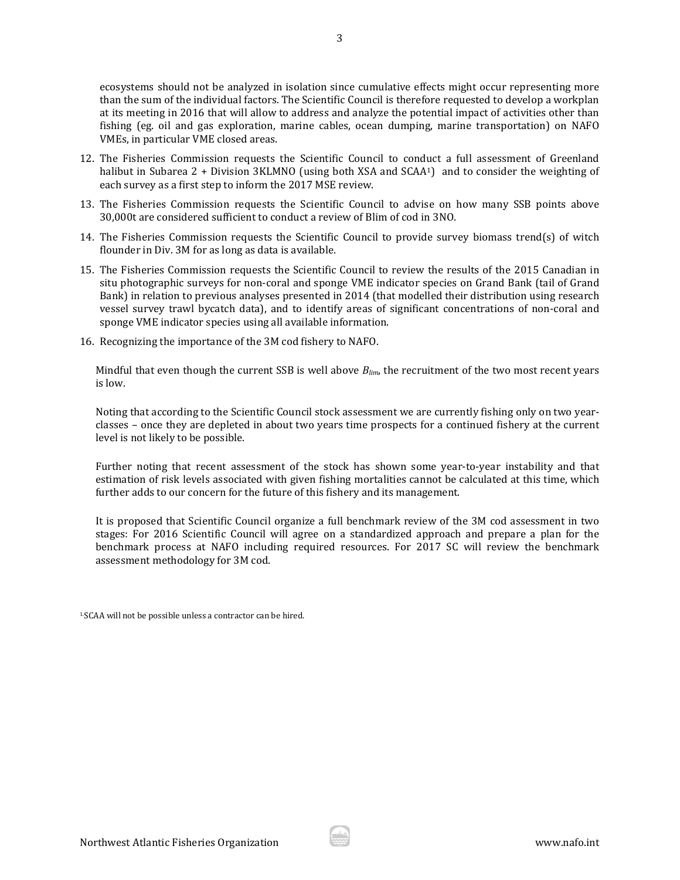ecosystems should not be analyzed in isolation since cumulative effects might occur representing more than the sum of the individual factors. The Scientific Council is therefore requested to develop a workplan at its meeting in 2016 that will allow to address and analyze the potential impact of activities other than fishing (eg. oil and gas exploration, marine cables, ocean dumping, marine transportation) on NAFO VMEs, in particular VME closed areas.

- 12. The Fisheries Commission requests the Scientific Council to conduct a full assessment of Greenland halibut in Subarea 2 + Division 3KLMNO (using both XSA and SCAA<sup>1</sup>) and to consider the weighting of each survey as a first step to inform the 2017 MSE review.
- 13. The Fisheries Commission requests the Scientific Council to advise on how many SSB points above 30,000t are considered sufficient to conduct a review of Blim of cod in 3NO.
- 14. The Fisheries Commission requests the Scientific Council to provide survey biomass trend(s) of witch flounder in Div. 3M for as long as data is available.
- 15. The Fisheries Commission requests the Scientific Council to review the results of the 2015 Canadian in situ photographic surveys for non-coral and sponge VME indicator species on Grand Bank (tail of Grand Bank) in relation to previous analyses presented in 2014 (that modelled their distribution using research vessel survey trawl bycatch data), and to identify areas of significant concentrations of non-coral and sponge VME indicator species using all available information.
- 16. Recognizing the importance of the 3M cod fishery to NAFO.

Mindful that even though the current SSB is well above *Blim*, the recruitment of the two most recent years is low.

Noting that according to the Scientific Council stock assessment we are currently fishing only on two yearclasses – once they are depleted in about two years time prospects for a continued fishery at the current level is not likely to be possible.

Further noting that recent assessment of the stock has shown some year-to-year instability and that estimation of risk levels associated with given fishing mortalities cannot be calculated at this time, which further adds to our concern for the future of this fishery and its management.

It is proposed that Scientific Council organize a full benchmark review of the 3M cod assessment in two stages: For 2016 Scientific Council will agree on a standardized approach and prepare a plan for the benchmark process at NAFO including required resources. For 2017 SC will review the benchmark assessment methodology for 3M cod.

1.SCAA will not be possible unless a contractor can be hired.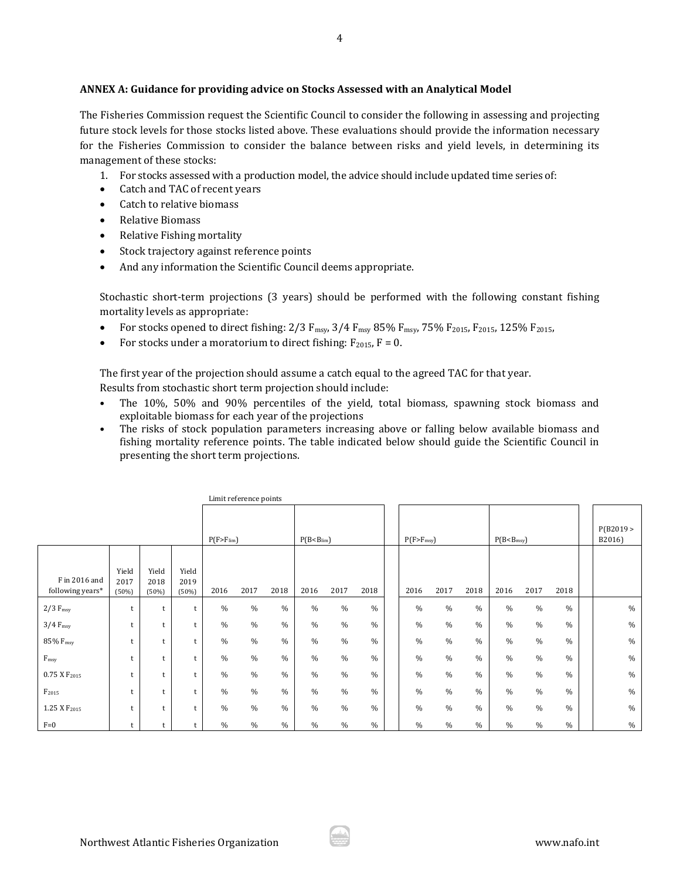## **ANNEX A: Guidance for providing advice on Stocks Assessed with an Analytical Model**

The Fisheries Commission request the Scientific Council to consider the following in assessing and projecting future stock levels for those stocks listed above. These evaluations should provide the information necessary for the Fisheries Commission to consider the balance between risks and yield levels, in determining its management of these stocks:

- 1. For stocks assessed with a production model, the advice should include updated time series of:
- Catch and TAC of recent years
- Catch to relative biomass
- Relative Biomass
- Relative Fishing mortality
- Stock trajectory against reference points
- And any information the Scientific Council deems appropriate.

Stochastic short-term projections (3 years) should be performed with the following constant fishing mortality levels as appropriate:

- For stocks opened to direct fishing:  $2/3$   $F_{msy}$ ,  $3/4$   $F_{msy}$   $85\%$   $F_{msy}$ ,  $75\%$   $F_{2015}$ ,  $F_{2015}$ ,  $125\%$   $F_{2015}$ ,
- For stocks under a moratorium to direct fishing:  $F_{2015}$ ,  $F = 0$ .

The first year of the projection should assume a catch equal to the agreed TAC for that year.

Results from stochastic short term projection should include:

Limit reference points

- The 10%, 50% and 90% percentiles of the yield, total biomass, spawning stock biomass and exploitable biomass for each year of the projections
- The risks of stock population parameters increasing above or falling below available biomass and fishing mortality reference points. The table indicated below should guide the Scientific Council in presenting the short term projections.

|                                   |                        |                        |                        |                  | <b>LITTLE LETER LICE DOITER</b> |               |                         |      |               |                  |      |               |                          |      |               |                    |
|-----------------------------------|------------------------|------------------------|------------------------|------------------|---------------------------------|---------------|-------------------------|------|---------------|------------------|------|---------------|--------------------------|------|---------------|--------------------|
|                                   |                        |                        |                        | $P(F > F_{lim})$ |                                 |               | $P(B < B_{\text{lim}})$ |      |               | $P(F > F_{msy})$ |      |               | P(B < B <sub>msy</sub> ) |      |               | P(B2019)<br>B2016) |
| F in 2016 and<br>following years* | Yield<br>2017<br>(50%) | Yield<br>2018<br>(50%) | Yield<br>2019<br>(50%) | 2016             | 2017                            | 2018          | 2016                    | 2017 | 2018          | 2016             | 2017 | 2018          | 2016                     | 2017 | 2018          |                    |
| $2/3$ F <sub>msy</sub>            | t                      |                        | t                      | $\frac{0}{0}$    | $\%$                            | $\%$          | $\%$                    | $\%$ | $\%$          | $\frac{0}{0}$    | $\%$ | $\%$          | $\frac{0}{0}$            | $\%$ | $\%$          | $\%$               |
| $3/4$ F <sub>msy</sub>            | t                      |                        | t                      | $\frac{0}{0}$    | $\%$                            | $\%$          | $\%$                    | $\%$ | $\frac{0}{0}$ | $\frac{0}{0}$    | $\%$ | $\frac{0}{0}$ | $\frac{0}{0}$            | $\%$ | $\%$          | $\%$               |
| 85% F <sub>msy</sub>              |                        |                        | t.                     | $\frac{0}{0}$    | $\%$                            | $\%$          | $\%$                    | $\%$ | $\frac{0}{0}$ | $\frac{0}{0}$    | $\%$ | $\frac{0}{0}$ | $\frac{0}{0}$            | $\%$ | $\%$          | $\%$               |
| F <sub>msv</sub>                  | t                      |                        | t                      | $\frac{0}{0}$    | $\%$                            | $\frac{0}{0}$ | $\%$                    | $\%$ | $\frac{0}{0}$ | $\frac{0}{0}$    | $\%$ | $\frac{0}{0}$ | $\frac{0}{0}$            | $\%$ | $\frac{0}{0}$ | $\frac{0}{0}$      |
| 0.75 X F <sub>2015</sub>          | t                      |                        | t.                     | $\frac{0}{0}$    | $\%$                            | $\%$          | $\%$                    | $\%$ | $\frac{0}{0}$ | $\frac{0}{0}$    | $\%$ | $\frac{0}{0}$ | $\frac{0}{0}$            | $\%$ | $\%$          | $\%$               |
| F <sub>2015</sub>                 |                        |                        | t.                     | $\frac{0}{0}$    | $\%$                            | $\frac{0}{0}$ | $\%$                    | $\%$ | $\frac{0}{0}$ | $\frac{0}{0}$    | $\%$ | $\frac{0}{0}$ | $\frac{0}{0}$            | $\%$ | $\frac{0}{0}$ | $\%$               |
| 1.25 X F <sub>2015</sub>          | t                      |                        | t                      | $\frac{0}{0}$    | $\%$                            | $\%$          | $\%$                    | $\%$ | $\frac{0}{0}$ | $\frac{0}{0}$    | $\%$ | $\frac{0}{0}$ | $\frac{0}{0}$            | $\%$ | $\frac{0}{0}$ | $\%$               |
| $F=0$                             |                        |                        |                        | $\frac{0}{0}$    | $\%$                            | $\%$          | $\%$                    | $\%$ | $\%$          | $\frac{0}{0}$    | $\%$ | $\%$          | $\%$                     | $\%$ | $\frac{0}{0}$ | $\%$               |

Northwest Atlantic Fisheries Organization www.nafo.int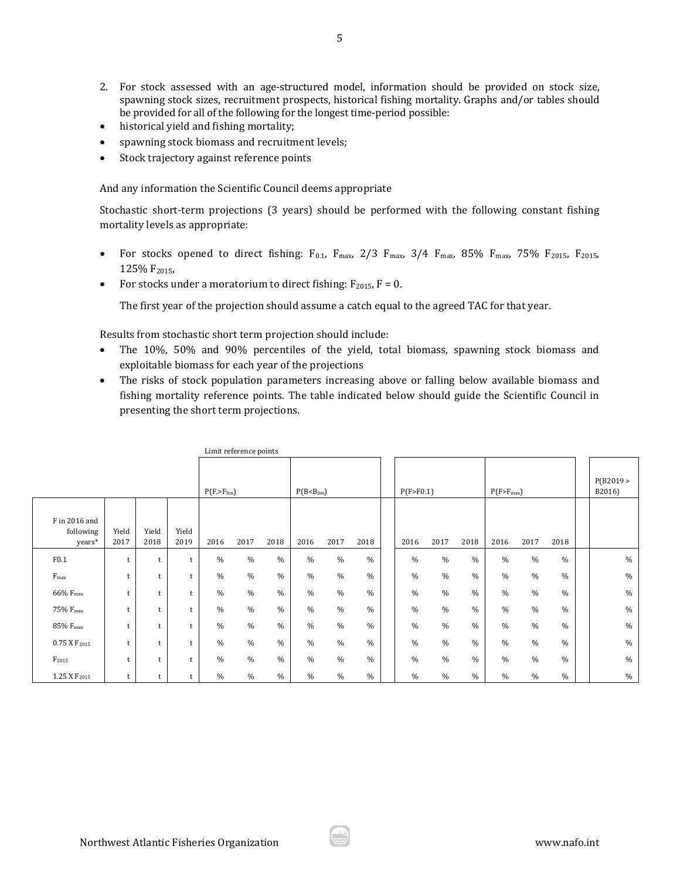- 2. For stock assessed with an age-structured model, information should be provided on stock size, spawning stock sizes, recruitment prospects, historical fishing mortality. Graphs and/or tables should be provided for all of the following for the longest time-period possible:
- historical yield and fishing mortality;
- spawning stock biomass and recruitment levels;
- Stock trajectory against reference points

And any information the Scientific Council deems appropriate

Stochastic short-term projections (3 years) should be performed with the following constant fishing mortality levels as appropriate:

- For stocks opened to direct fishing:  $F_{0.1}$ ,  $F_{\text{max}}$ ,  $2/3$   $F_{\text{max}}$ ,  $3/4$   $F_{\text{max}}$ ,  $85\%$   $F_{\text{max}}$ ,  $75\%$   $F_{2015}$ ,  $F_{2015}$ , 125% F<sub>2015</sub>
- For stocks under a moratorium to direct fishing:  $F_{2015}$ ,  $F = 0$ .

The first year of the projection should assume a catch equal to the agreed TAC for that year.

Results from stochastic short term projection should include:

- The 10%, 50% and 90% percentiles of the yield, total biomass, spawning stock biomass and exploitable biomass for each year of the projections
- The risks of stock population parameters increasing above or falling below available biomass and fishing mortality reference points. The table indicated below should guide the Scientific Council in presenting the short term projections.

|                                      | Limit reference points |               |               |                  |               |               |                         |               |      |  |               |               |               |                |      |               |  |                    |
|--------------------------------------|------------------------|---------------|---------------|------------------|---------------|---------------|-------------------------|---------------|------|--|---------------|---------------|---------------|----------------|------|---------------|--|--------------------|
|                                      |                        |               |               | $P(F > F_{lim})$ |               |               | $P(B < B_{\text{lim}})$ |               |      |  | P(F > F0.1)   |               |               | $P(F>F_{max})$ |      |               |  | P(B2019)<br>B2016) |
| F in 2016 and<br>following<br>years* | Yield<br>2017          | Yield<br>2018 | Yield<br>2019 | 2016             | 2017          | 2018          | 2016                    | 2017          | 2018 |  | 2016          | 2017          | 2018          | 2016           | 2017 | 2018          |  |                    |
| F0.1                                 | t                      | t             |               | $\frac{0}{0}$    | $\frac{0}{0}$ | $\frac{0}{0}$ | $\frac{0}{0}$           | $\frac{0}{0}$ | $\%$ |  | $\frac{0}{0}$ | $\%$          | $\frac{0}{0}$ | $\frac{0}{0}$  | $\%$ | $\frac{0}{0}$ |  | $\%$               |
| $F_{\rm max}$                        | t                      | t             | t             | $\frac{0}{0}$    | $\frac{0}{0}$ | $\frac{0}{0}$ | $\frac{0}{0}$           | $\frac{0}{0}$ | $\%$ |  | $\frac{0}{0}$ | $\frac{0}{0}$ | $\frac{0}{0}$ | $\frac{0}{0}$  | $\%$ | $\%$          |  | $\%$               |
| 66% F <sub>max</sub>                 | t                      | t             | t             | $\frac{0}{0}$    | $\frac{0}{0}$ | $\%$          | $\frac{0}{0}$           | $\frac{0}{0}$ | $\%$ |  | $\frac{0}{0}$ | $\frac{0}{0}$ | $\frac{0}{0}$ | $\%$           | $\%$ | $\frac{0}{0}$ |  | $\%$               |
| 75% F <sub>max</sub>                 | t                      | t             |               | $\frac{0}{0}$    | $\frac{0}{0}$ | $\%$          | $\frac{0}{0}$           | $\frac{0}{0}$ | $\%$ |  | $\frac{0}{0}$ | $\frac{0}{0}$ | $\frac{0}{0}$ | $\frac{0}{0}$  | $\%$ | $\frac{0}{0}$ |  | $\%$               |
| 85% F <sub>max</sub>                 | t                      | t             |               | $\frac{0}{0}$    | $\frac{0}{0}$ | $\frac{0}{0}$ | $\%$                    | $\frac{0}{0}$ | $\%$ |  | $\frac{0}{0}$ | $\frac{0}{0}$ | $\%$          | $\frac{0}{0}$  | $\%$ | $\%$          |  | $\%$               |
| $0.75$ X $F_{2015}$                  | t                      | t             |               | $\frac{0}{0}$    | $\frac{0}{0}$ | $\frac{0}{0}$ | $\frac{0}{0}$           | $\frac{0}{0}$ | $\%$ |  | $\frac{0}{0}$ | $\frac{0}{0}$ | $\%$          | $\frac{0}{0}$  | $\%$ | $\%$          |  | $\%$               |
| F <sub>2015</sub>                    | t                      | t             | t             | $\frac{0}{0}$    | $\frac{0}{0}$ | $\frac{0}{0}$ | $\%$                    | $\frac{0}{0}$ | $\%$ |  | $\frac{0}{0}$ | $\%$          | $\%$          | $\%$           | $\%$ | $\%$          |  | $\%$               |
| 1.25 X F <sub>2015</sub>             | t                      | t             |               | $\%$             | $\%$          | $\%$          | $\%$                    | $\frac{0}{0}$ | $\%$ |  | $\%$          | $\%$          | $\%$          | $\%$           | $\%$ | $\%$          |  | $\%$               |